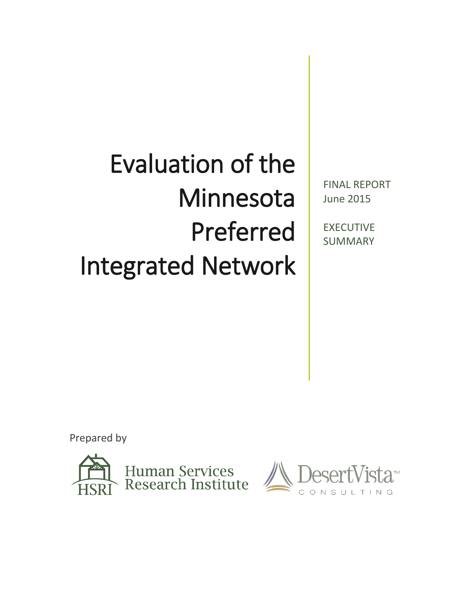# Evaluation of the Minnesota Preferred Integrated Network

FINAL REPORT June 2015

EXECUTIVE SUMMARY

Prepared by



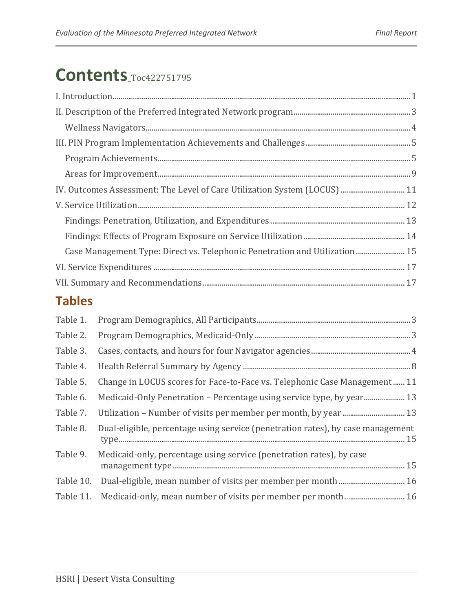# <span id="page-1-0"></span>**Contents**[\\_Toc422751795](#page-1-0)

| IV. Outcomes Assessment: The Level of Care Utilization System (LOCUS)  11   |  |
|-----------------------------------------------------------------------------|--|
|                                                                             |  |
|                                                                             |  |
|                                                                             |  |
| Case Management Type: Direct vs. Telephonic Penetration and Utilization  15 |  |
|                                                                             |  |
|                                                                             |  |
|                                                                             |  |

## **Tables**

<span id="page-1-1"></span>

| Table 1. |                                                                                 |
|----------|---------------------------------------------------------------------------------|
| Table 2. |                                                                                 |
| Table 3. |                                                                                 |
| Table 4. |                                                                                 |
| Table 5. | Change in LOCUS scores for Face-to-Face vs. Telephonic Case Management 11       |
| Table 6. |                                                                                 |
| Table 7. |                                                                                 |
| Table 8. | Dual-eligible, percentage using service (penetration rates), by case management |
| Table 9. | Medicaid-only, percentage using service (penetration rates), by case            |
|          | Table 10. Dual-eligible, mean number of visits per member per month 16          |
|          | Table 11. Medicaid-only, mean number of visits per member per month 16          |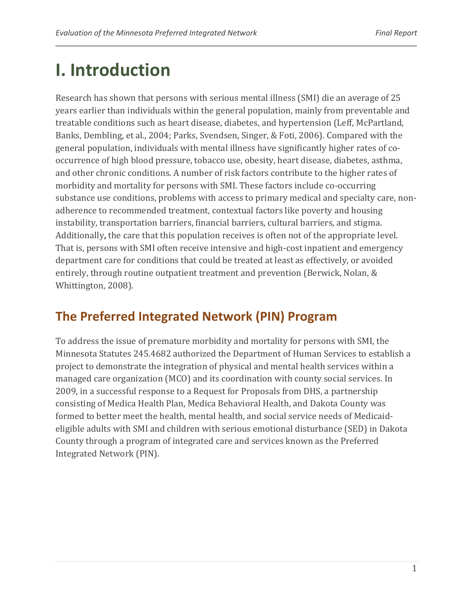# **I. Introduction**

Research has shown that persons with serious mental illness (SMI) die an average of 25 years earlier than individuals within the general population, mainly from preventable and treatable conditions such as heart disease, diabetes, and hypertension (Leff, McPartland, Banks, Dembling, et al., 2004; Parks, Svendsen, Singer, & Foti, 2006). Compared with the general population, individuals with mental illness have significantly higher rates of cooccurrence of high blood pressure, tobacco use, obesity, heart disease, diabetes, asthma, and other chronic conditions. A number of risk factors contribute to the higher rates of morbidity and mortality for persons with SMI. These factors include co-occurring substance use conditions, problems with access to primary medical and specialty care, nonadherence to recommended treatment, contextual factors like poverty and housing instability, transportation barriers, financial barriers, cultural barriers, and stigma. Additionally**,** the care that this population receives is often not of the appropriate level. That is, persons with SMI often receive intensive and high-cost inpatient and emergency department care for conditions that could be treated at least as effectively, or avoided entirely, through routine outpatient treatment and prevention (Berwick, Nolan, & Whittington, 2008).

### **The Preferred Integrated Network (PIN) Program**

To address the issue of premature morbidity and mortality for persons with SMI, the Minnesota Statutes 245.4682 authorized the Department of Human Services to establish a project to demonstrate the integration of physical and mental health services within a managed care organization (MCO) and its coordination with county social services. In 2009, in a successful response to a Request for Proposals from DHS, a partnership consisting of Medica Health Plan, Medica Behavioral Health, and Dakota County was formed to better meet the health, mental health, and social service needs of Medicaideligible adults with SMI and children with serious emotional disturbance (SED) in Dakota County through a program of integrated care and services known as the Preferred Integrated Network (PIN).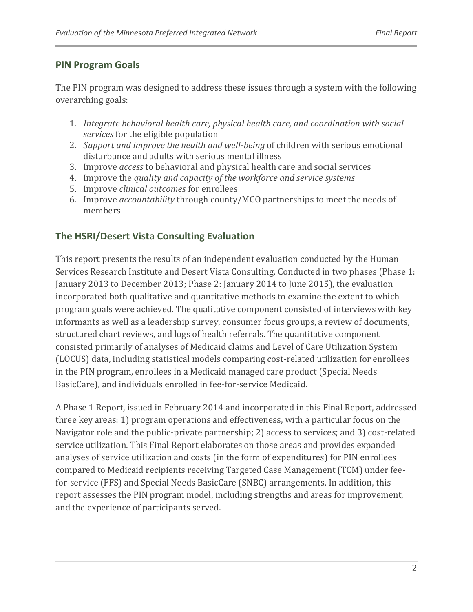#### **PIN Program Goals**

The PIN program was designed to address these issues through a system with the following overarching goals:

- 1. *Integrate behavioral health care, physical health care, and coordination with social services* for the eligible population
- 2. *Support and improve the health and well-being* of children with serious emotional disturbance and adults with serious mental illness
- 3. Improve *access* to behavioral and physical health care and social services
- 4. Improve the *quality and capacity of the workforce and service systems*
- 5. Improve *clinical outcomes* for enrollees
- 6. Improve *accountability* through county/MCO partnerships to meet the needs of members

#### **The HSRI/Desert Vista Consulting Evaluation**

This report presents the results of an independent evaluation conducted by the Human Services Research Institute and Desert Vista Consulting. Conducted in two phases (Phase 1: January 2013 to December 2013; Phase 2: January 2014 to June 2015), the evaluation incorporated both qualitative and quantitative methods to examine the extent to which program goals were achieved. The qualitative component consisted of interviews with key informants as well as a leadership survey, consumer focus groups, a review of documents, structured chart reviews, and logs of health referrals. The quantitative component consisted primarily of analyses of Medicaid claims and Level of Care Utilization System (LOCUS) data, including statistical models comparing cost-related utilization for enrollees in the PIN program, enrollees in a Medicaid managed care product (Special Needs BasicCare), and individuals enrolled in fee-for-service Medicaid.

A Phase 1 Report, issued in February 2014 and incorporated in this Final Report, addressed three key areas: 1) program operations and effectiveness, with a particular focus on the Navigator role and the public-private partnership; 2) access to services; and 3) cost-related service utilization. This Final Report elaborates on those areas and provides expanded analyses of service utilization and costs (in the form of expenditures) for PIN enrollees compared to Medicaid recipients receiving Targeted Case Management (TCM) under feefor-service (FFS) and Special Needs BasicCare (SNBC) arrangements. In addition, this report assesses the PIN program model, including strengths and areas for improvement, and the experience of participants served.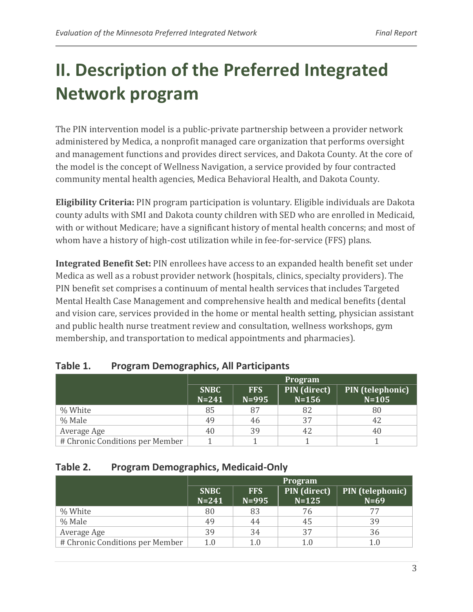# <span id="page-4-0"></span>**II. Description of the Preferred Integrated Network program**

The PIN intervention model is a public-private partnership between a provider network administered by Medica, a nonprofit managed care organization that performs oversight and management functions and provides direct services, and Dakota County. At the core of the model is the concept of Wellness Navigation, a service provided by four contracted community mental health agencies, Medica Behavioral Health, and Dakota County.

**Eligibility Criteria:** PIN program participation is voluntary. Eligible individuals are Dakota county adults with SMI and Dakota county children with SED who are enrolled in Medicaid, with or without Medicare; have a significant history of mental health concerns; and most of whom have a history of high-cost utilization while in fee-for-service (FFS) plans.

**Integrated Benefit Set:** PIN enrollees have access to an expanded health benefit set under Medica as well as a robust provider network (hospitals, clinics, specialty providers). The PIN benefit set comprises a continuum of mental health services that includes Targeted Mental Health Case Management and comprehensive health and medical benefits (dental and vision care, services provided in the home or mental health setting, physician assistant and public health nurse treatment review and consultation, wellness workshops, gym membership, and transportation to medical appointments and pharmacies).

|                                 |                          |                         | <b>Program</b>            |                               |
|---------------------------------|--------------------------|-------------------------|---------------------------|-------------------------------|
|                                 | <b>SNBC</b><br>$N = 241$ | <b>FFS</b><br>$N = 995$ | PIN (direct)<br>$N = 156$ | PIN (telephonic)<br>$N = 105$ |
| % White                         | 85                       | 87                      | 82                        | 80                            |
| % Male                          | 49                       | 46                      | 37                        | 42                            |
| Average Age                     | 40                       | 39                      | 42                        | 40                            |
| # Chronic Conditions per Member |                          |                         |                           |                               |

#### <span id="page-4-1"></span>**Table 1. Program Demographics, All Participants**

#### <span id="page-4-2"></span>**Table 2. Program Demographics, Medicaid-Only**

|                                 | <b>Program</b>           |                         |                           |                            |  |  |  |  |
|---------------------------------|--------------------------|-------------------------|---------------------------|----------------------------|--|--|--|--|
|                                 | <b>SNBC</b><br>$N = 241$ | <b>FFS</b><br>$N = 995$ | PIN (direct)<br>$N = 125$ | PIN (telephonic)<br>$N=69$ |  |  |  |  |
| % White                         | 80                       | 83                      | 76                        |                            |  |  |  |  |
| % Male                          | 49                       | 44                      | 45                        | 39                         |  |  |  |  |
| Average Age                     | 39                       | 34                      | 37                        | 36                         |  |  |  |  |
| # Chronic Conditions per Member | 1.0                      | 1.0                     |                           | 1.0                        |  |  |  |  |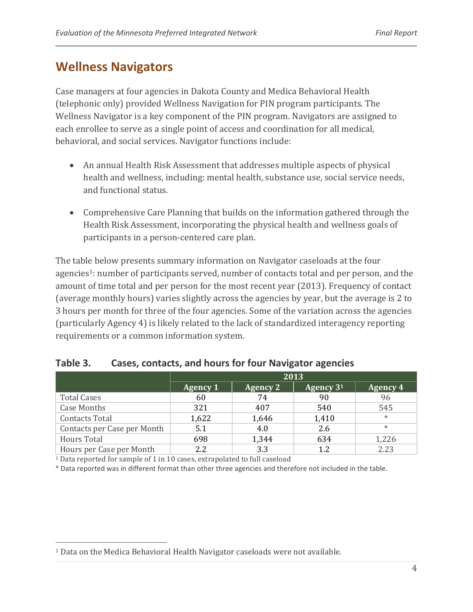### <span id="page-5-0"></span>**Wellness Navigators**

Case managers at four agencies in Dakota County and Medica Behavioral Health (telephonic only) provided Wellness Navigation for PIN program participants. The Wellness Navigator is a key component of the PIN program. Navigators are assigned to each enrollee to serve as a single point of access and coordination for all medical, behavioral, and social services. Navigator functions include:

- An annual Health Risk Assessment that addresses multiple aspects of physical health and wellness, including: mental health, substance use, social service needs, and functional status.
- Comprehensive Care Planning that builds on the information gathered through the Health Risk Assessment, incorporating the physical health and wellness goals of participants in a person-centered care plan.

The table below presents summary information on Navigator caseloads at the four agencies<sup>1</sup>: number of participants served, number of contacts total and per person, and the amount of time total and per person for the most recent year (2013). Frequency of contact (average monthly hours) varies slightly across the agencies by year, but the average is 2 to 3 hours per month for three of the four agencies. Some of the variation across the agencies (particularly Agency 4) is likely related to the lack of standardized interagency reporting requirements or a common information system.

|                             |                 | 2013            |                       |                 |  |  |  |  |  |
|-----------------------------|-----------------|-----------------|-----------------------|-----------------|--|--|--|--|--|
|                             | <b>Agency 1</b> | <b>Agency 2</b> | Agency 3 <sup>1</sup> | <b>Agency 4</b> |  |  |  |  |  |
| <b>Total Cases</b>          | 60              | 74              | 90                    | 96              |  |  |  |  |  |
| <b>Case Months</b>          | 321             | 407             | 540                   | 545             |  |  |  |  |  |
| <b>Contacts Total</b>       | 1,622           | 1,646           | 1,410                 | $\ast$          |  |  |  |  |  |
| Contacts per Case per Month | 5.1             | 4.0             | 2.6                   | $\ast$          |  |  |  |  |  |
| <b>Hours Total</b>          | 698             | 1,344           | 634                   | 1,226           |  |  |  |  |  |
| Hours per Case per Month    | 2.2             | 3.3             | 1.2                   | 2.23            |  |  |  |  |  |

#### <span id="page-5-1"></span>**Table 3. Cases, contacts, and hours for four Navigator agencies**

<sup>1</sup> Data reported for sample of 1 in 10 cases, extrapolated to full caseload

\* Data reported was in different format than other three agencies and therefore not included in the table.

<sup>&</sup>lt;sup>1</sup> Data on the Medica Behavioral Health Navigator caseloads were not available.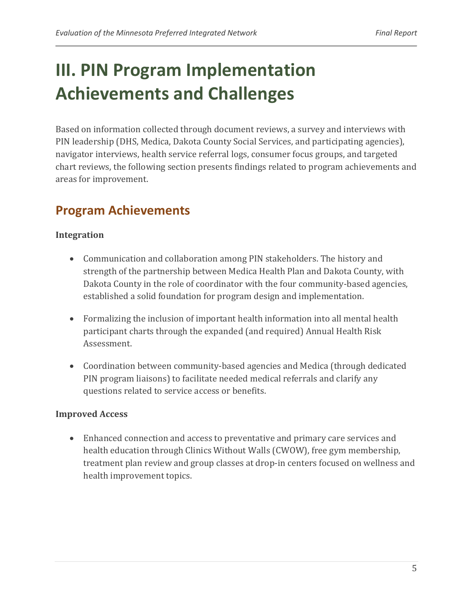# <span id="page-6-0"></span>**III. PIN Program Implementation Achievements and Challenges**

Based on information collected through document reviews, a survey and interviews with PIN leadership (DHS, Medica, Dakota County Social Services, and participating agencies), navigator interviews, health service referral logs, consumer focus groups, and targeted chart reviews, the following section presents findings related to program achievements and areas for improvement.

# <span id="page-6-1"></span>**Program Achievements**

#### **Integration**

- Communication and collaboration among PIN stakeholders. The history and strength of the partnership between Medica Health Plan and Dakota County, with Dakota County in the role of coordinator with the four community-based agencies, established a solid foundation for program design and implementation.
- Formalizing the inclusion of important health information into all mental health participant charts through the expanded (and required) Annual Health Risk Assessment.
- Coordination between community-based agencies and Medica (through dedicated PIN program liaisons) to facilitate needed medical referrals and clarify any questions related to service access or benefits.

#### **Improved Access**

• Enhanced connection and access to preventative and primary care services and health education through Clinics Without Walls (CWOW), free gym membership, treatment plan review and group classes at drop-in centers focused on wellness and health improvement topics.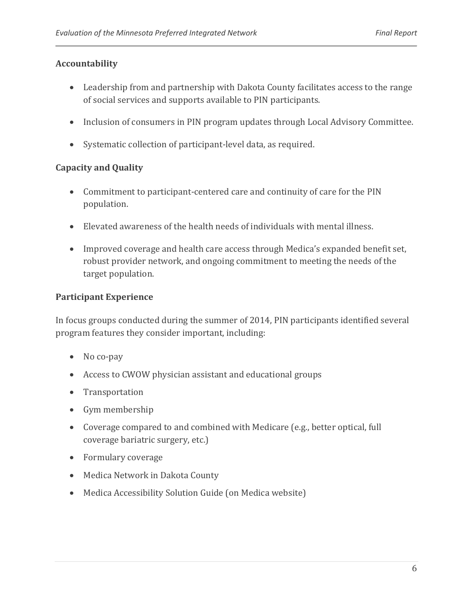#### **Accountability**

- Leadership from and partnership with Dakota County facilitates access to the range of social services and supports available to PIN participants.
- Inclusion of consumers in PIN program updates through Local Advisory Committee.
- Systematic collection of participant-level data, as required.

#### **Capacity and Quality**

- Commitment to participant-centered care and continuity of care for the PIN population.
- x Elevated awareness of the health needs of individuals with mental illness.
- Improved coverage and health care access through Medica's expanded benefit set, robust provider network, and ongoing commitment to meeting the needs of the target population.

#### **Participant Experience**

In focus groups conducted during the summer of 2014, PIN participants identified several program features they consider important, including:

- $\bullet$  No co-pay
- Access to CWOW physician assistant and educational groups
- Transportation
- $\bullet$  Gym membership
- Coverage compared to and combined with Medicare (e.g., better optical, full coverage bariatric surgery, etc.)
- Formulary coverage
- Medica Network in Dakota County
- Medica Accessibility Solution Guide (on Medica website)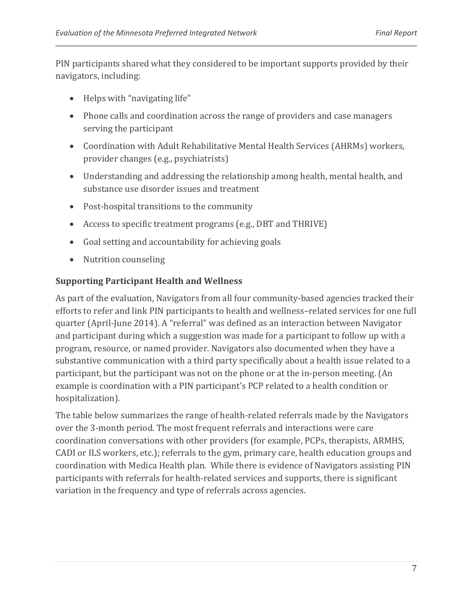PIN participants shared what they considered to be important supports provided by their navigators, including:

- $\bullet$  Helps with "navigating life"
- Phone calls and coordination across the range of providers and case managers serving the participant
- Coordination with Adult Rehabilitative Mental Health Services (AHRMs) workers, provider changes (e.g., psychiatrists)
- Understanding and addressing the relationship among health, mental health, and substance use disorder issues and treatment
- Post-hospital transitions to the community
- Access to specific treatment programs (e.g., DBT and THRIVE)
- Goal setting and accountability for achieving goals
- Nutrition counseling

#### **Supporting Participant Health and Wellness**

As part of the evaluation, Navigators from all four community-based agencies tracked their efforts to refer and link PIN participants to health and wellness–related services for one full quarter (April-June 2014). A "referral" was defined as an interaction between Navigator and participant during which a suggestion was made for a participant to follow up with a program, resource, or named provider. Navigators also documented when they have a substantive communication with a third party specifically about a health issue related to a participant, but the participant was not on the phone or at the in-person meeting. (An example is coordination with a PIN participant's PCP related to a health condition or hospitalization).

The table below summarizes the range of health-related referrals made by the Navigators over the 3-month period. The most frequent referrals and interactions were care coordination conversations with other providers (for example, PCPs, therapists, ARMHS, CADI or ILS workers, etc.); referrals to the gym, primary care, health education groups and coordination with Medica Health plan. While there is evidence of Navigators assisting PIN participants with referrals for health-related services and supports, there is significant variation in the frequency and type of referrals across agencies.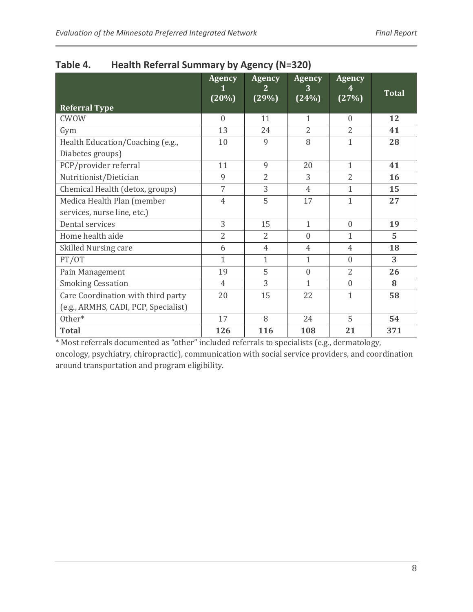| <b>Referral Type</b>                 | <b>Agency</b><br>(20%) | <b>Agency</b><br>2<br>(29%) | <b>Agency</b><br>3<br>(24%) | <b>Agency</b><br>(27%) | <b>Total</b> |
|--------------------------------------|------------------------|-----------------------------|-----------------------------|------------------------|--------------|
| <b>CWOW</b>                          | $\overline{0}$         | 11                          | $\mathbf{1}$                | $\overline{0}$         | 12           |
| Gym                                  | 13                     | 24                          | $\overline{2}$              | $\overline{2}$         | 41           |
| Health Education/Coaching (e.g.,     | 10                     | 9                           | 8                           | $\mathbf{1}$           | 28           |
| Diabetes groups)                     |                        |                             |                             |                        |              |
| PCP/provider referral                | 11                     | 9                           | 20                          | $\mathbf{1}$           | 41           |
| Nutritionist/Dietician               | 9                      | $\overline{2}$              | 3                           | $\overline{2}$         | 16           |
| Chemical Health (detox, groups)      | 7                      | 3                           | $\overline{4}$              | $\mathbf{1}$           | 15           |
| Medica Health Plan (member           | $\overline{4}$         | 5                           | 17                          | $\mathbf{1}$           | 27           |
| services, nurse line, etc.)          |                        |                             |                             |                        |              |
| Dental services                      | 3                      | 15                          | $\mathbf{1}$                | $\overline{0}$         | 19           |
| Home health aide                     | $\overline{2}$         | $\overline{2}$              | $\mathbf{0}$                | $\mathbf{1}$           | 5            |
| Skilled Nursing care                 | 6                      | $\overline{4}$              | $\overline{4}$              | $\overline{4}$         | 18           |
| PT/OT                                | $\mathbf{1}$           | $\mathbf{1}$                | $\mathbf{1}$                | $\boldsymbol{0}$       | 3            |
| Pain Management                      | 19                     | 5                           | $\mathbf{0}$                | $\overline{2}$         | 26           |
| <b>Smoking Cessation</b>             | $\overline{4}$         | 3                           | $\mathbf{1}$                | $\overline{0}$         | 8            |
| Care Coordination with third party   | 20                     | 15                          | 22                          | 1                      | 58           |
| (e.g., ARMHS, CADI, PCP, Specialist) |                        |                             |                             |                        |              |
| Other*                               | 17                     | 8                           | 24                          | 5                      | 54           |
| <b>Total</b>                         | 126                    | 116                         | 108                         | 21                     | 371          |

<span id="page-9-0"></span>

| Table 4. |  |  | <b>Health Referral Summary by Agency (N=320)</b> |  |  |  |
|----------|--|--|--------------------------------------------------|--|--|--|
|----------|--|--|--------------------------------------------------|--|--|--|

\* Most referrals documented as "other" included referrals to specialists (e.g., dermatology, oncology, psychiatry, chiropractic), communication with social service providers, and coordination around transportation and program eligibility.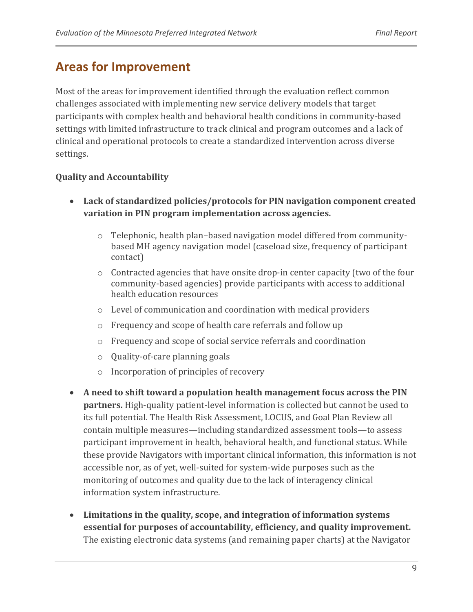### <span id="page-10-0"></span>**Areas for Improvement**

Most of the areas for improvement identified through the evaluation reflect common challenges associated with implementing new service delivery models that target participants with complex health and behavioral health conditions in community-based settings with limited infrastructure to track clinical and program outcomes and a lack of clinical and operational protocols to create a standardized intervention across diverse settings.

#### **Quality and Accountability**

- x **Lack of standardized policies/protocols for PIN navigation component created variation in PIN program implementation across agencies.**
	- $\circ$  Telephonic, health plan–based navigation model differed from communitybased MH agency navigation model (caseload size, frequency of participant contact)
	- o Contracted agencies that have onsite drop-in center capacity (two of the four community-based agencies) provide participants with access to additional health education resources
	- o Level of communication and coordination with medical providers
	- o Frequency and scope of health care referrals and follow up
	- o Frequency and scope of social service referrals and coordination
	- o Quality-of-care planning goals
	- o Incorporation of principles of recovery
- x **A need to shift toward a population health management focus across the PIN partners.** High-quality patient-level information is collected but cannot be used to its full potential. The Health Risk Assessment, LOCUS, and Goal Plan Review all contain multiple measures—including standardized assessment tools—to assess participant improvement in health, behavioral health, and functional status. While these provide Navigators with important clinical information, this information is not accessible nor, as of yet, well-suited for system-wide purposes such as the monitoring of outcomes and quality due to the lack of interagency clinical information system infrastructure.
- x **Limitations in the quality, scope, and integration of information systems essential for purposes of accountability, efficiency, and quality improvement.**  The existing electronic data systems (and remaining paper charts) at the Navigator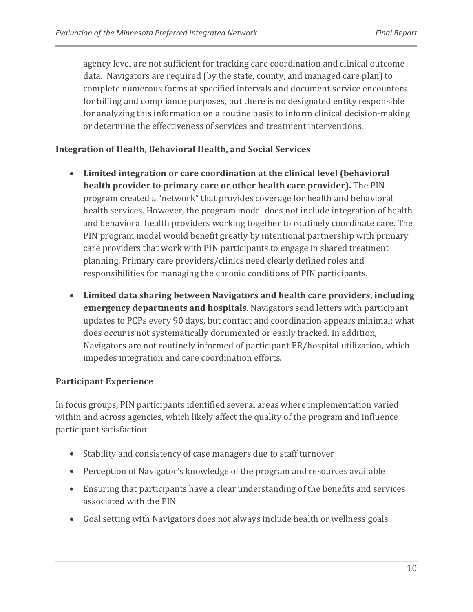agency level are not sufficient for tracking care coordination and clinical outcome data. Navigators are required (by the state, county, and managed care plan) to complete numerous forms at specified intervals and document service encounters for billing and compliance purposes, but there is no designated entity responsible for analyzing this information on a routine basis to inform clinical decision-making or determine the effectiveness of services and treatment interventions.

#### **Integration of Health, Behavioral Health, and Social Services**

- x **Limited integration or care coordination at the clinical level (behavioral health provider to primary care or other health care provider).** The PIN program created a "network" that provides coverage for health and behavioral health services. However, the program model does not include integration of health and behavioral health providers working together to routinely coordinate care. The PIN program model would benefit greatly by intentional partnership with primary care providers that work with PIN participants to engage in shared treatment planning. Primary care providers/clinics need clearly defined roles and responsibilities for managing the chronic conditions of PIN participants.
- x **Limited data sharing between Navigators and health care providers, including emergency departments and hospitals**. Navigators send letters with participant updates to PCPs every 90 days, but contact and coordination appears minimal; what does occur is not systematically documented or easily tracked. In addition, Navigators are not routinely informed of participant ER/hospital utilization, which impedes integration and care coordination efforts.

#### **Participant Experience**

In focus groups, PIN participants identified several areas where implementation varied within and across agencies, which likely affect the quality of the program and influence participant satisfaction:

- Stability and consistency of case managers due to staff turnover
- Perception of Navigator's knowledge of the program and resources available
- Ensuring that participants have a clear understanding of the benefits and services associated with the PIN
- Goal setting with Navigators does not always include health or wellness goals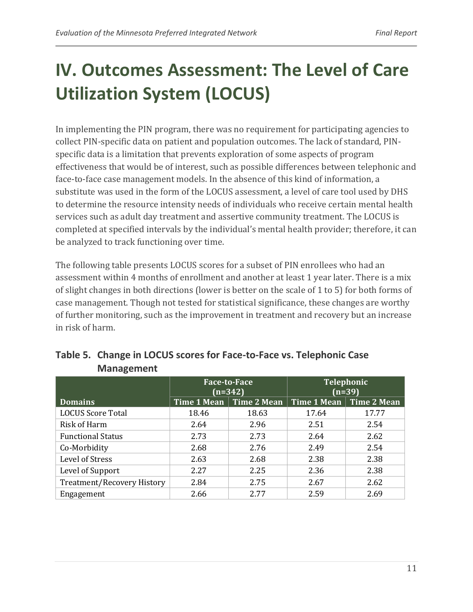# <span id="page-12-0"></span>**IV. Outcomes Assessment: The Level of Care Utilization System (LOCUS)**

In implementing the PIN program, there was no requirement for participating agencies to collect PIN-specific data on patient and population outcomes. The lack of standard, PINspecific data is a limitation that prevents exploration of some aspects of program effectiveness that would be of interest, such as possible differences between telephonic and face-to-face case management models. In the absence of this kind of information, a substitute was used in the form of the LOCUS assessment, a level of care tool used by DHS to determine the resource intensity needs of individuals who receive certain mental health services such as adult day treatment and assertive community treatment. The LOCUS is completed at specified intervals by the individual's mental health provider; therefore, it can be analyzed to track functioning over time.

The following table presents LOCUS scores for a subset of PIN enrollees who had an assessment within 4 months of enrollment and another at least 1 year later. There is a mix of slight changes in both directions (lower is better on the scale of 1 to 5) for both forms of case management. Though not tested for statistical significance, these changes are worthy of further monitoring, such as the improvement in treatment and recovery but an increase in risk of harm.

|                                   | $(n=342)$   | <b>Face-to-Face</b> | Telephonic<br>$(n=39)$ |             |  |
|-----------------------------------|-------------|---------------------|------------------------|-------------|--|
| <b>Domains</b>                    | Time 1 Mean | Time 2 Mean         | Time $1$ Mean          | Time 2 Mean |  |
| <b>LOCUS Score Total</b>          | 18.46       | 18.63               | 17.64                  | 17.77       |  |
| Risk of Harm                      | 2.64        | 2.96                | 2.51                   | 2.54        |  |
| <b>Functional Status</b>          | 2.73        | 2.73                | 2.64                   | 2.62        |  |
| Co-Morbidity                      | 2.68        | 2.76                | 2.49                   | 2.54        |  |
| Level of Stress                   | 2.63        | 2.68                | 2.38                   | 2.38        |  |
| Level of Support                  | 2.27        | 2.25                | 2.36                   | 2.38        |  |
| <b>Treatment/Recovery History</b> | 2.84        | 2.75                | 2.67                   | 2.62        |  |
| Engagement                        | 2.66        | 2.77                | 2.59                   | 2.69        |  |

<span id="page-12-1"></span>

| Table 5. Change in LOCUS scores for Face-to-Face vs. Telephonic Case |
|----------------------------------------------------------------------|
| <b>Management</b>                                                    |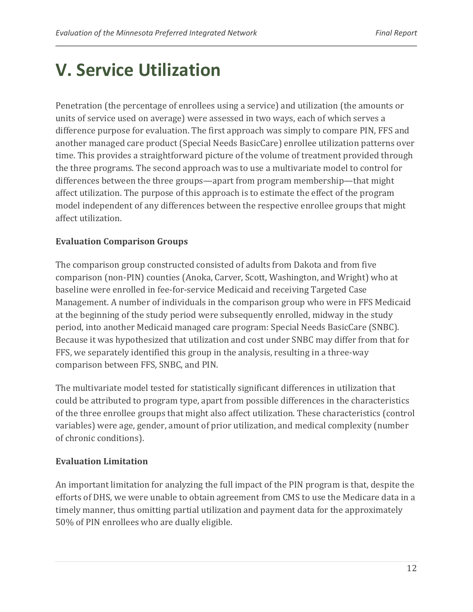# <span id="page-13-0"></span>**V. Service Utilization**

Penetration (the percentage of enrollees using a service) and utilization (the amounts or units of service used on average) were assessed in two ways, each of which serves a difference purpose for evaluation. The first approach was simply to compare PIN, FFS and another managed care product (Special Needs BasicCare) enrollee utilization patterns over time. This provides a straightforward picture of the volume of treatment provided through the three programs. The second approach was to use a multivariate model to control for differences between the three groups—apart from program membership—that might affect utilization. The purpose of this approach is to estimate the effect of the program model independent of any differences between the respective enrollee groups that might affect utilization.

#### **Evaluation Comparison Groups**

The comparison group constructed consisted of adults from Dakota and from five comparison (non-PIN) counties (Anoka, Carver, Scott, Washington, and Wright) who at baseline were enrolled in fee-for-service Medicaid and receiving Targeted Case Management. A number of individuals in the comparison group who were in FFS Medicaid at the beginning of the study period were subsequently enrolled, midway in the study period, into another Medicaid managed care program: Special Needs BasicCare (SNBC). Because it was hypothesized that utilization and cost under SNBC may differ from that for FFS, we separately identified this group in the analysis, resulting in a three-way comparison between FFS, SNBC, and PIN.

The multivariate model tested for statistically significant differences in utilization that could be attributed to program type, apart from possible differences in the characteristics of the three enrollee groups that might also affect utilization. These characteristics (control variables) were age, gender, amount of prior utilization, and medical complexity (number of chronic conditions).

#### **Evaluation Limitation**

An important limitation for analyzing the full impact of the PIN program is that, despite the efforts of DHS, we were unable to obtain agreement from CMS to use the Medicare data in a timely manner, thus omitting partial utilization and payment data for the approximately 50% of PIN enrollees who are dually eligible.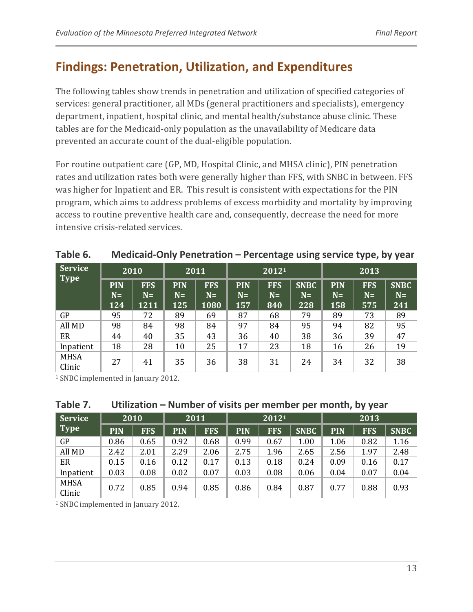### <span id="page-14-0"></span>**Findings: Penetration, Utilization, and Expenditures**

The following tables show trends in penetration and utilization of specified categories of services: general practitioner, all MDs (general practitioners and specialists), emergency department, inpatient, hospital clinic, and mental health/substance abuse clinic. These tables are for the Medicaid-only population as the unavailability of Medicare data prevented an accurate count of the dual-eligible population.

For routine outpatient care (GP, MD, Hospital Clinic, and MHSA clinic), PIN penetration rates and utilization rates both were generally higher than FFS, with SNBC in between. FFS was higher for Inpatient and ER. This result is consistent with expectations for the PIN program, which aims to address problems of excess morbidity and mortality by improving access to routine preventive health care and, consequently, decrease the need for more intensive crisis-related services.

|                               | ---                       |                            |                           |                            |                           |                           |                            |                           |                           |                            |
|-------------------------------|---------------------------|----------------------------|---------------------------|----------------------------|---------------------------|---------------------------|----------------------------|---------------------------|---------------------------|----------------------------|
| <b>Service</b><br><b>Type</b> | 2010                      |                            | 2011                      |                            | 20121                     |                           |                            | 2013                      |                           |                            |
|                               | <b>PIN</b><br>$N=$<br>124 | <b>FFS</b><br>$N=$<br>1211 | <b>PIN</b><br>$N=$<br>125 | <b>FFS</b><br>$N=$<br>1080 | <b>PIN</b><br>$N=$<br>157 | <b>FFS</b><br>$N=$<br>840 | <b>SNBC</b><br>$N=$<br>228 | <b>PIN</b><br>$N=$<br>158 | <b>FFS</b><br>$N=$<br>575 | <b>SNBC</b><br>$N=$<br>241 |
| GP                            | 95                        | 72                         | 89                        | 69                         | 87                        | 68                        | 79                         | 89                        | 73                        | 89                         |
| All MD                        | 98                        | 84                         | 98                        | 84                         | 97                        | 84                        | 95                         | 94                        | 82                        | 95                         |
| ER                            | 44                        | 40                         | 35                        | 43                         | 36                        | 40                        | 38                         | 36                        | 39                        | 47                         |
| Inpatient                     | 18                        | 28                         | 10                        | 25                         | 17                        | 23                        | 18                         | 16                        | 26                        | 19                         |
| <b>MHSA</b><br>Clinic         | 27                        | 41                         | 35                        | 36                         | 38                        | 31                        | 24                         | 34                        | 32                        | 38                         |

<span id="page-14-1"></span>

| Table 6. | Medicaid-Only Penetration – Percentage using service type, by year |
|----------|--------------------------------------------------------------------|
|----------|--------------------------------------------------------------------|

<sup>1</sup> SNBC implemented in January 2012.

#### <span id="page-14-2"></span>**Table 7. Utilization – Number of visits per member per month, by year**

| Service               | 2010       |            | 2011       |            | 20121      |            |             | 2013       |            |             |
|-----------------------|------------|------------|------------|------------|------------|------------|-------------|------------|------------|-------------|
| Type                  | <b>PIN</b> | <b>FFS</b> | <b>PIN</b> | <b>FFS</b> | <b>PIN</b> | <b>FFS</b> | <b>SNBC</b> | <b>PIN</b> | <b>FFS</b> | <b>SNBC</b> |
| GP                    | 0.86       | 0.65       | 0.92       | 0.68       | 0.99       | 0.67       | 1.00        | 1.06       | 0.82       | 1.16        |
| All MD                | 2.42       | 2.01       | 2.29       | 2.06       | 2.75       | 1.96       | 2.65        | 2.56       | 1.97       | 2.48        |
| ER                    | 0.15       | 0.16       | 0.12       | 0.17       | 0.13       | 0.18       | 0.24        | 0.09       | 0.16       | 0.17        |
| Inpatient             | 0.03       | 0.08       | 0.02       | 0.07       | 0.03       | 0.08       | 0.06        | 0.04       | 0.07       | 0.04        |
| <b>MHSA</b><br>Clinic | 0.72       | 0.85       | 0.94       | 0.85       | 0.86       | 0.84       | 0.87        | 0.77       | 0.88       | 0.93        |

<sup>1</sup> SNBC implemented in January 2012.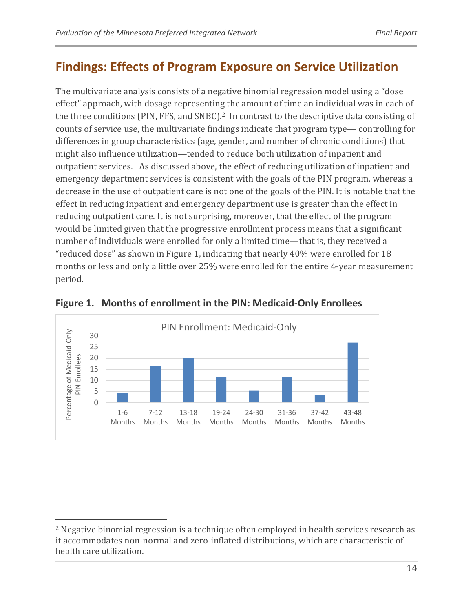### <span id="page-15-0"></span>**Findings: Effects of Program Exposure on Service Utilization**

The multivariate analysis consists of a negative binomial regression model using a "dose effect" approach, with dosage representing the amount of time an individual was in each of the three conditions (PIN, FFS, and SNBC).<sup>2</sup> In contrast to the descriptive data consisting of counts of service use, the multivariate findings indicate that program type— controlling for differences in group characteristics (age, gender, and number of chronic conditions) that might also influence utilization—tended to reduce both utilization of inpatient and outpatient services. As discussed above, the effect of reducing utilization of inpatient and emergency department services is consistent with the goals of the PIN program, whereas a decrease in the use of outpatient care is not one of the goals of the PIN. It is notable that the effect in reducing inpatient and emergency department use is greater than the effect in reducing outpatient care. It is not surprising, moreover, that the effect of the program would be limited given that the progressive enrollment process means that a significant number of individuals were enrolled for only a limited time—that is, they received a "reduced dose" as shown in Figure 1, indicating that nearly 40% were enrolled for 18 months or less and only a little over 25% were enrolled for the entire 4-year measurement period.



**Figure 1. Months of enrollment in the PIN: Medicaid-Only Enrollees**

 <sup>2</sup> Negative binomial regression is a technique often employed in health services research as it accommodates non-normal and zero-inflated distributions, which are characteristic of health care utilization.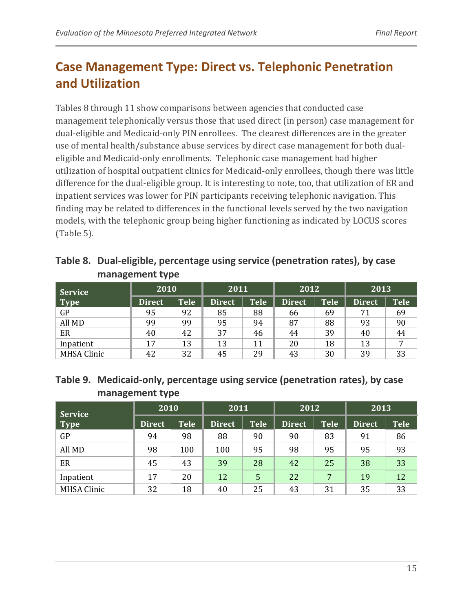# <span id="page-16-0"></span>**Case Management Type: Direct vs. Telephonic Penetration and Utilization**

Tables 8 through 11 show comparisons between agencies that conducted case management telephonically versus those that used direct (in person) case management for dual-eligible and Medicaid-only PIN enrollees. The clearest differences are in the greater use of mental health/substance abuse services by direct case management for both dualeligible and Medicaid-only enrollments. Telephonic case management had higher utilization of hospital outpatient clinics for Medicaid-only enrollees, though there was little difference for the dual-eligible group. It is interesting to note, too, that utilization of ER and inpatient services was lower for PIN participants receiving telephonic navigation. This finding may be related to differences in the functional levels served by the two navigation models, with the telephonic group being higher functioning as indicated by LOCUS scores (Table 5).

<span id="page-16-1"></span>

| Table 8. Dual-eligible, percentage using service (penetration rates), by case |
|-------------------------------------------------------------------------------|
| management type                                                               |

| Service            | 2010          |                   | 2011          |                   | 2012          |             | 2013          |                   |
|--------------------|---------------|-------------------|---------------|-------------------|---------------|-------------|---------------|-------------------|
| Type               | <b>Direct</b> | Tele <sup>1</sup> | <b>Direct</b> | Tele <sup>'</sup> | <b>Direct</b> | <b>Tele</b> | <b>Direct</b> | Tele <sup>1</sup> |
| GP                 | 95            | 92                | 85            | 88                | 66            | 69          | 71            | 69                |
| All MD             | 99            | 99                | 95            | 94                | 87            | 88          | 93            | 90                |
| ER                 | 40            | 42                | 37            | 46                | 44            | 39          | 40            | 44                |
| Inpatient          | 17            | 13                | 13            | 11                | 20            | 18          | 13            |                   |
| <b>MHSA Clinic</b> | 42            | 32                | 45            | 29                | 43            | 30          | 39            | 33                |

#### <span id="page-16-2"></span>**Table 9. Medicaid-only, percentage using service (penetration rates), by case management type**

| <b>Service</b>     | 2010          |             | 2011          |             | 2012          |             | 2013          |             |
|--------------------|---------------|-------------|---------------|-------------|---------------|-------------|---------------|-------------|
| Type               | <b>Direct</b> | <b>Tele</b> | <b>Direct</b> | <b>Tele</b> | <b>Direct</b> | <b>Tele</b> | <b>Direct</b> | <b>Tele</b> |
| GP                 | 94            | 98          | 88            | 90          | 90            | 83          | 91            | 86          |
| All MD             | 98            | 100         | 100           | 95          | 98            | 95          | 95            | 93          |
| ER                 | 45            | 43          | 39            | 28          | 42            | 25          | 38            | 33          |
| Inpatient          | 17            | 20          | 12            | 5           | 22            | 7           | 19            | 12          |
| <b>MHSA Clinic</b> | 32            | 18          | 40            | 25          | 43            | 31          | 35            | 33          |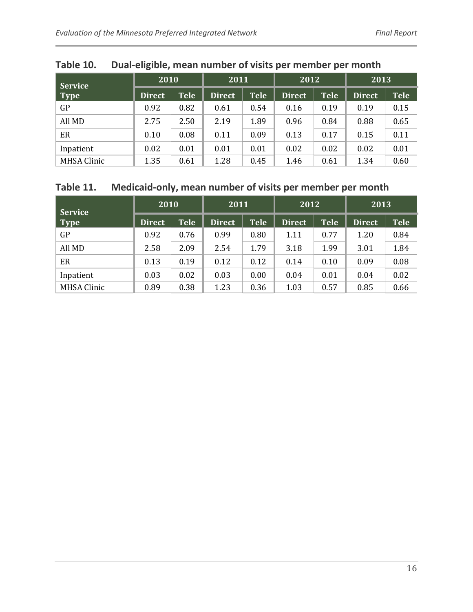| <b>Service</b>     | 2010   |             | 2011          |             | 2012   |             | 2013          |             |
|--------------------|--------|-------------|---------------|-------------|--------|-------------|---------------|-------------|
| $\vert$ Type       | Direct | <b>Tele</b> | <b>Direct</b> | <b>Tele</b> | Direct | <b>Tele</b> | <b>Direct</b> | <b>Tele</b> |
| GP                 | 0.92   | 0.82        | 0.61          | 0.54        | 0.16   | 0.19        | 0.19          | 0.15        |
| All MD             | 2.75   | 2.50        | 2.19          | 1.89        | 0.96   | 0.84        | 0.88          | 0.65        |
| ER                 | 0.10   | 0.08        | 0.11          | 0.09        | 0.13   | 0.17        | 0.15          | 0.11        |
| Inpatient          | 0.02   | 0.01        | 0.01          | 0.01        | 0.02   | 0.02        | 0.02          | 0.01        |
| <b>MHSA Clinic</b> | 1.35   | 0.61        | 1.28          | 0.45        | 1.46   | 0.61        | 1.34          | 0.60        |

### <span id="page-17-0"></span>**Table 10. Dual-eligible, mean number of visits per member per month**

#### <span id="page-17-1"></span>**Table 11. Medicaid-only, mean number of visits per member per month**

| <b>Service</b>     | 2010          |             | 2011          |             | 2012          |             | 2013          |             |
|--------------------|---------------|-------------|---------------|-------------|---------------|-------------|---------------|-------------|
| Type               | <b>Direct</b> | <b>Tele</b> | <b>Direct</b> | <b>Tele</b> | <b>Direct</b> | <b>Tele</b> | <b>Direct</b> | <b>Tele</b> |
| GP                 | 0.92          | 0.76        | 0.99          | 0.80        | 1.11          | 0.77        | 1.20          | 0.84        |
| All MD             | 2.58          | 2.09        | 2.54          | 1.79        | 3.18          | 1.99        | 3.01          | 1.84        |
| ER                 | 0.13          | 0.19        | 0.12          | 0.12        | 0.14          | 0.10        | 0.09          | 0.08        |
| Inpatient          | 0.03          | 0.02        | 0.03          | 0.00        | 0.04          | 0.01        | 0.04          | 0.02        |
| <b>MHSA Clinic</b> | 0.89          | 0.38        | 1.23          | 0.36        | 1.03          | 0.57        | 0.85          | 0.66        |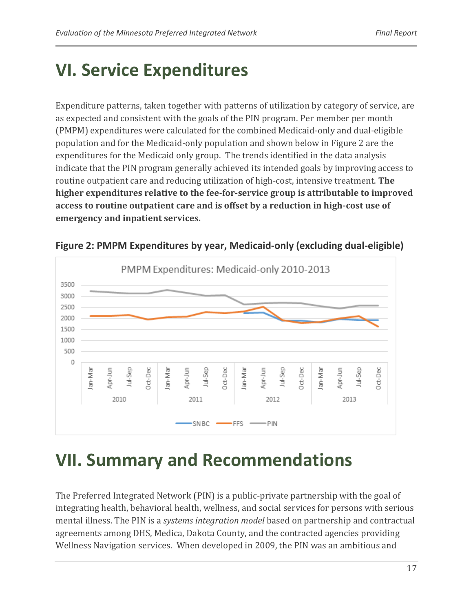# <span id="page-18-0"></span>**VI. Service Expenditures**

Expenditure patterns, taken together with patterns of utilization by category of service, are as expected and consistent with the goals of the PIN program. Per member per month (PMPM) expenditures were calculated for the combined Medicaid-only and dual-eligible population and for the Medicaid-only population and shown below in Figure 2 are the expenditures for the Medicaid only group. The trends identified in the data analysis indicate that the PIN program generally achieved its intended goals by improving access to routine outpatient care and reducing utilization of high-cost, intensive treatment. **The higher expenditures relative to the fee-for-service group is attributable to improved access to routine outpatient care and is offset by a reduction in high-cost use of emergency and inpatient services.**



**Figure 2: PMPM Expenditures by year, Medicaid-only (excluding dual-eligible)**

# <span id="page-18-1"></span>**VII. Summary and Recommendations**

The Preferred Integrated Network (PIN) is a public-private partnership with the goal of integrating health, behavioral health, wellness, and social services for persons with serious mental illness. The PIN is a *systems integration model* based on partnership and contractual agreements among DHS, Medica, Dakota County, and the contracted agencies providing Wellness Navigation services. When developed in 2009, the PIN was an ambitious and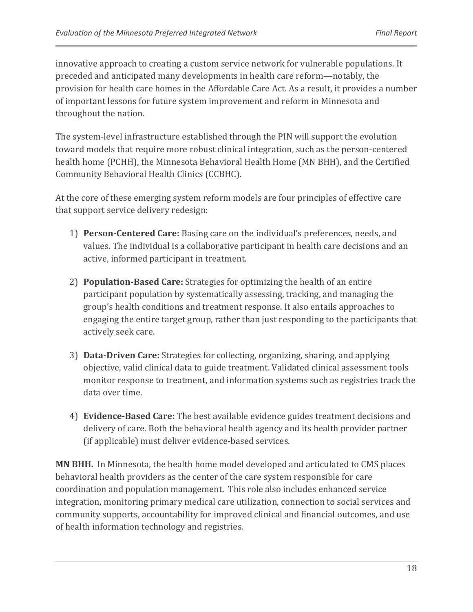innovative approach to creating a custom service network for vulnerable populations. It preceded and anticipated many developments in health care reform—notably, the provision for health care homes in the Affordable Care Act. As a result, it provides a number of important lessons for future system improvement and reform in Minnesota and throughout the nation.

The system-level infrastructure established through the PIN will support the evolution toward models that require more robust clinical integration, such as the person-centered health home (PCHH), the Minnesota Behavioral Health Home (MN BHH), and the Certified Community Behavioral Health Clinics (CCBHC).

At the core of these emerging system reform models are four principles of effective care that support service delivery redesign:

- 1) **Person-Centered Care:** Basing care on the individual's preferences, needs, and values. The individual is a collaborative participant in health care decisions and an active, informed participant in treatment.
- 2) **Population-Based Care:** Strategies for optimizing the health of an entire participant population by systematically assessing, tracking, and managing the group's health conditions and treatment response. It also entails approaches to engaging the entire target group, rather than just responding to the participants that actively seek care.
- 3) **Data-Driven Care:** Strategies for collecting, organizing, sharing, and applying objective, valid clinical data to guide treatment. Validated clinical assessment tools monitor response to treatment, and information systems such as registries track the data over time.
- 4) **Evidence-Based Care:** The best available evidence guides treatment decisions and delivery of care. Both the behavioral health agency and its health provider partner (if applicable) must deliver evidence-based services.

**MN BHH.** In Minnesota, the health home model developed and articulated to CMS places behavioral health providers as the center of the care system responsible for care coordination and population management. This role also includes enhanced service integration, monitoring primary medical care utilization, connection to social services and community supports, accountability for improved clinical and financial outcomes, and use of health information technology and registries.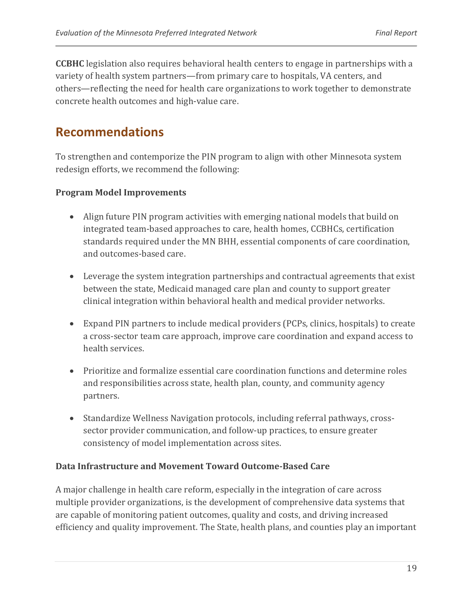**CCBHC** legislation also requires behavioral health centers to engage in partnerships with a variety of health system partners—from primary care to hospitals, VA centers, and others—reflecting the need for health care organizations to work together to demonstrate concrete health outcomes and high-value care.

### **Recommendations**

To strengthen and contemporize the PIN program to align with other Minnesota system redesign efforts, we recommend the following:

#### **Program Model Improvements**

- Align future PIN program activities with emerging national models that build on integrated team-based approaches to care, health homes, CCBHCs, certification standards required under the MN BHH, essential components of care coordination, and outcomes-based care.
- Leverage the system integration partnerships and contractual agreements that exist between the state, Medicaid managed care plan and county to support greater clinical integration within behavioral health and medical provider networks.
- Expand PIN partners to include medical providers (PCPs, clinics, hospitals) to create a cross-sector team care approach, improve care coordination and expand access to health services.
- Prioritize and formalize essential care coordination functions and determine roles and responsibilities across state, health plan, county, and community agency partners.
- Standardize Wellness Navigation protocols, including referral pathways, crosssector provider communication, and follow-up practices, to ensure greater consistency of model implementation across sites.

#### **Data Infrastructure and Movement Toward Outcome-Based Care**

A major challenge in health care reform, especially in the integration of care across multiple provider organizations, is the development of comprehensive data systems that are capable of monitoring patient outcomes, quality and costs, and driving increased efficiency and quality improvement. The State, health plans, and counties play an important